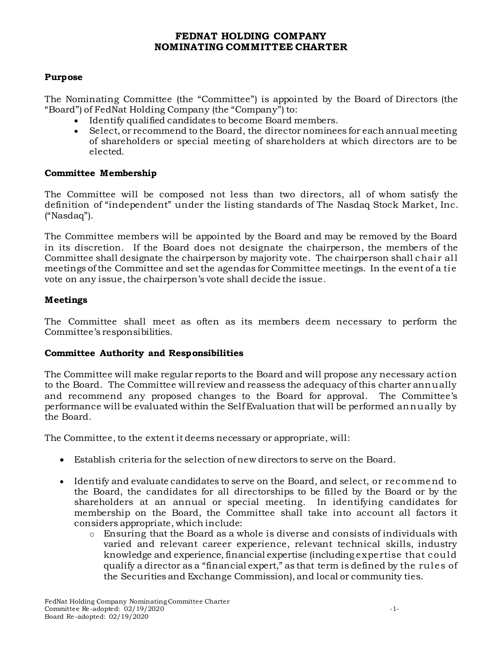## **FEDNAT HOLDING COMPANY NOMINATING COMMITTEE CHARTER**

### **Purpose**

The Nominating Committee (the "Committee") is appointed by the Board of Directors (the "Board") of FedNat Holding Company (the "Company") to:

- Identify qualified candidates to become Board members.
- Select, or recommend to the Board, the director nominees for each annual meeting of shareholders or special meeting of shareholders at which directors are to be elected.

#### **Committee Membership**

The Committee will be composed not less than two directors, all of whom satisfy the definition of "independent" under the listing standards of The Nasdaq Stock Market, Inc. ("Nasdaq").

The Committee members will be appointed by the Board and may be removed by the Board in its discretion. If the Board does not designate the chairperson, the members of the Committee shall designate the chairperson by majority vote. The chairperson shall chair all meetings of the Committee and set the agendas for Committee meetings. In the event of a tie vote on any issue, the chairperson's vote shall decide the issue.

#### **Meetings**

The Committee shall meet as often as its members deem necessary to perform the Committee's responsibilities.

#### **Committee Authority and Responsibilities**

The Committee will make regular reports to the Board and will propose any necessary action to the Board. The Committee will review and reassess the adequacy of this charter annually and recommend any proposed changes to the Board for approval. The Committee's performance will be evaluated within the Self Evaluation that will be performed annually by the Board.

The Committee, to the extent it deems necessary or appropriate, will:

- Establish criteria for the selection of new directors to serve on the Board.
- Identify and evaluate candidates to serve on the Board, and select, or recommend to the Board, the candidates for all directorships to be filled by the Board or by the shareholders at an annual or special meeting. In identifying candidates for membership on the Board, the Committee shall take into account all factors it considers appropriate, which include:
	- $\circ$  Ensuring that the Board as a whole is diverse and consists of individuals with varied and relevant career experience, relevant technical skills, industry knowledge and experience, financial expertise (including expertise that could qualify a director as a "financial expert," as that term is defined by the rules of the Securities and Exchange Commission), and local or community ties.